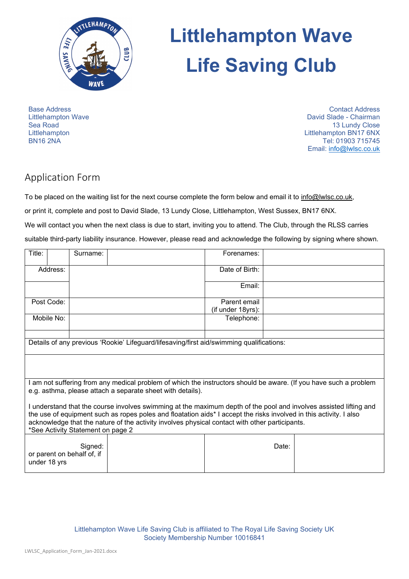

# **Littlehampton Wave Life Saving Club**

Base Address Littlehampton Wave Sea Road **Littlehampton** BN16 2NA

Contact Address David Slade - Chairman 13 Lundy Close Littlehampton BN17 6NX Tel: 01903 715745 Email: [info@lwlsc.co.uk](mailto:info@lwlsc.co.uk)

## Application Form

To be placed on the waiting list for the next course complete the form below and email it to [info@lwlsc.co.uk,](mailto:info@lwlsc.co.uk) or print it, complete and post to David Slade, 13 Lundy Close, Littlehampton, West Sussex, BN17 6NX. We will contact you when the next class is due to start, inviting you to attend. The Club, through the RLSS carries suitable third-party liability insurance. However, please read and acknowledge the following by signing where shown.

| Title:                                                                                                                                                                                                                                                                                                                                                                         |              | Surname:                              |  | Forenames:        |       |  |
|--------------------------------------------------------------------------------------------------------------------------------------------------------------------------------------------------------------------------------------------------------------------------------------------------------------------------------------------------------------------------------|--------------|---------------------------------------|--|-------------------|-------|--|
| Address:                                                                                                                                                                                                                                                                                                                                                                       |              |                                       |  | Date of Birth:    |       |  |
|                                                                                                                                                                                                                                                                                                                                                                                |              |                                       |  | Email:            |       |  |
| Post Code:                                                                                                                                                                                                                                                                                                                                                                     |              |                                       |  | Parent email      |       |  |
|                                                                                                                                                                                                                                                                                                                                                                                |              |                                       |  | (if under 18yrs): |       |  |
|                                                                                                                                                                                                                                                                                                                                                                                | Mobile No:   |                                       |  | Telephone:        |       |  |
|                                                                                                                                                                                                                                                                                                                                                                                |              |                                       |  |                   |       |  |
| Details of any previous 'Rookie' Lifeguard/lifesaving/first aid/swimming qualifications:                                                                                                                                                                                                                                                                                       |              |                                       |  |                   |       |  |
|                                                                                                                                                                                                                                                                                                                                                                                |              |                                       |  |                   |       |  |
| am not suffering from any medical problem of which the instructors should be aware. (If you have such a problem<br>e.g. asthma, please attach a separate sheet with details).                                                                                                                                                                                                  |              |                                       |  |                   |       |  |
| I understand that the course involves swimming at the maximum depth of the pool and involves assisted lifting and<br>the use of equipment such as ropes poles and floatation aids* I accept the risks involved in this activity. I also<br>acknowledge that the nature of the activity involves physical contact with other participants.<br>*See Activity Statement on page 2 |              |                                       |  |                   |       |  |
|                                                                                                                                                                                                                                                                                                                                                                                | under 18 yrs | Signed:<br>or parent on behalf of, if |  |                   | Date: |  |